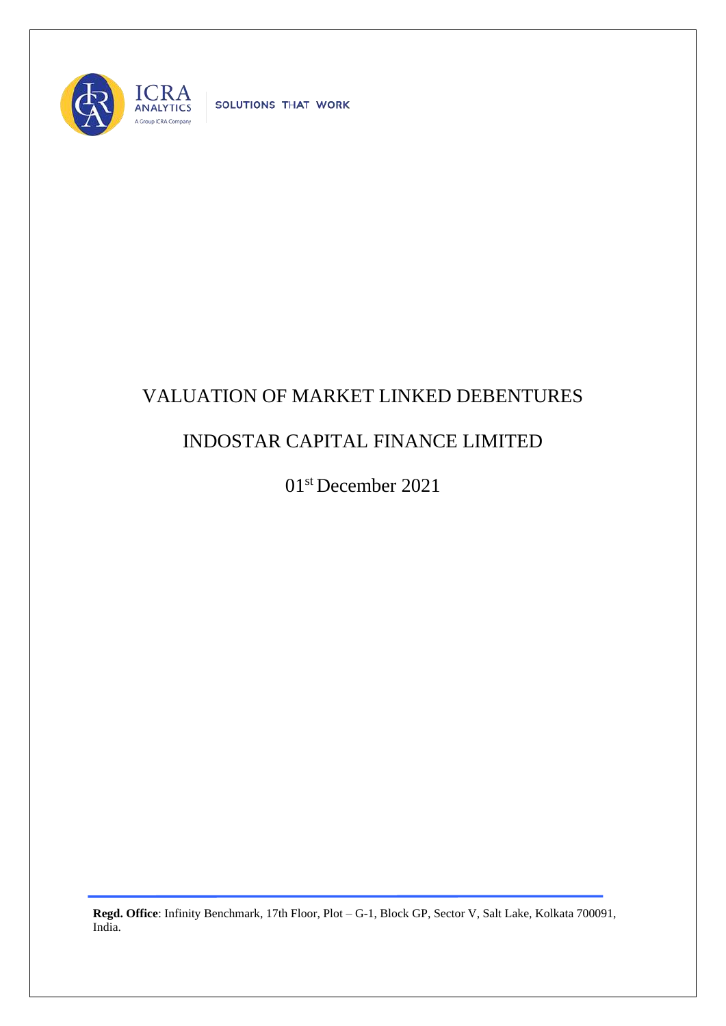

SOLUTIONS THAT WORK

## VALUATION OF MARKET LINKED DEBENTURES

## INDOSTAR CAPITAL FINANCE LIMITED

01st December 2021

**Regd. Office**: Infinity Benchmark, 17th Floor, Plot – G-1, Block GP, Sector V, Salt Lake, Kolkata 700091, India.